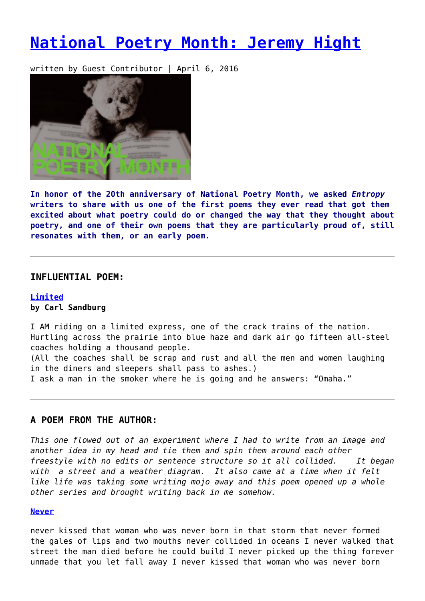# **[National Poetry Month: Jeremy Hight](https://entropymag.org/national-poetry-month-jeremy-hight/)**

written by Guest Contributor | April 6, 2016



**In honor of the 20th anniversary of National Poetry Month, we asked** *Entropy* **writers to share with us one of the first poems they ever read that got them excited about what poetry could do or changed the way that they thought about poetry, and one of their own poems that they are particularly proud of, still resonates with them, or an early poem.**

#### **INFLUENTIAL POEM:**

### **[Limited](http://www.bartleby.com/165/35.html) by Carl Sandburg**

I AM riding on a limited express, one of the crack trains of the nation. Hurtling across the prairie into blue haze and dark air go fifteen all-steel coaches holding a thousand people. (All the coaches shall be scrap and rust and all the men and women laughing in the diners and sleepers shall pass to ashes.) I ask a man in the smoker where he is going and he answers: "Omaha."

## **A POEM FROM THE AUTHOR:**

*This one flowed out of an experiment where I had to write from an image and another idea in my head and tie them and spin them around each other freestyle with no edits or sentence structure so it all collided. It began with a street and a weather diagram. It also came at a time when it felt like life was taking some writing mojo away and this poem opened up a whole other series and brought writing back in me somehow.*

#### **[Never](http://australianlatinopress.blogspot.com/2014/05/never-poem-by-jeremy-hight.html)**

never kissed that woman who was never born in that storm that never formed the gales of lips and two mouths never collided in oceans I never walked that street the man died before he could build I never picked up the thing forever unmade that you let fall away I never kissed that woman who was never born